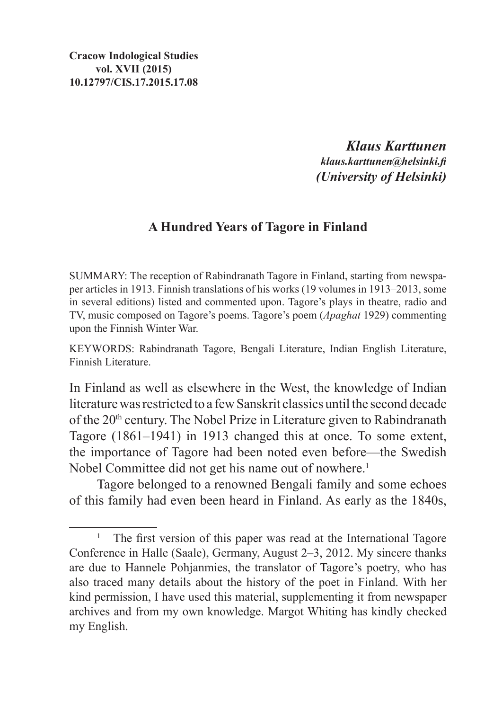*Klaus Karttunen klaus.karttunen@helsinki.fi (University of Helsinki)*

## **A Hundred Years of Tagore in Finland**

SUMMARY: The reception of Rabindranath Tagore in Finland, starting from newspaper articles in 1913. Finnish translations of his works (19 volumes in 1913–2013, some in several editions) listed and commented upon. Tagore's plays in theatre, radio and TV, music composed on Tagore's poems. Tagore's poem (*Apaghat* 1929) commenting upon the Finnish Winter War.

KEYWORDS: Rabindranath Tagore, Bengali Literature, Indian English Literature, Finnish Literature.

In Finland as well as elsewhere in the West, the knowledge of Indian literature was restricted to a few Sanskrit classics until the second decade of the 20<sup>th</sup> century. The Nobel Prize in Literature given to Rabindranath Tagore (1861–1941) in 1913 changed this at once. To some extent, the importance of Tagore had been noted even before—the Swedish Nobel Committee did not get his name out of nowhere.<sup>1</sup>

Tagore belonged to a renowned Bengali family and some echoes of this family had even been heard in Finland. As early as the 1840s,

<sup>&</sup>lt;sup>1</sup> The first version of this paper was read at the International Tagore Conference in Halle (Saale), Germany, August 2–3, 2012. My sincere thanks are due to Hannele Pohjanmies, the translator of Tagore's poetry, who has also traced many details about the history of the poet in Finland. With her kind permission, I have used this material, supplementing it from newspaper archives and from my own knowledge. Margot Whiting has kindly checked my English.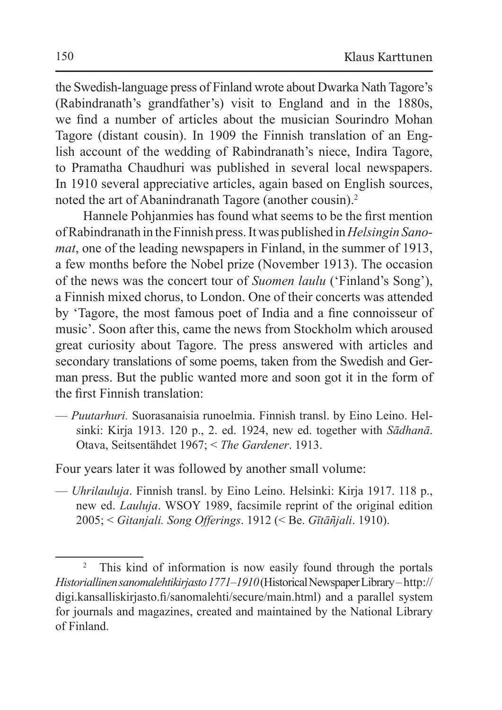the Swedish-language press of Finland wrote about Dwarka Nath Tagore's (Rabindranath's grandfather's) visit to England and in the 1880s, we find a number of articles about the musician Sourindro Mohan Tagore (distant cousin). In 1909 the Finnish translation of an English account of the wedding of Rabindranath's niece, Indira Tagore, to Pramatha Chaudhuri was published in several local newspapers. In 1910 several appreciative articles, again based on English sources, noted the art of Abanindranath Tagore (another cousin).<sup>2</sup>

Hannele Pohjanmies has found what seems to be the first mention of Rabindranath in theFinnish press. Itwas published in*Helsingin Sanomat*, one of the leading newspapers in Finland, in the summer of 1913, a few months before the Nobel prize (November 1913). The occasion of the news was the concert tour of *Suomen laulu* ('Finland's Song'), a Finnish mixed chorus, to London. One of their concerts was attended by 'Tagore, the most famous poet of India and a fine connoisseur of music'. Soon after this, came the news from Stockholm which aroused great curiosity about Tagore. The press answered with articles and secondary translations of some poems, taken from the Swedish and German press. But the public wanted more and soon got it in the form of the first Finnish translation:

— *Puutarhuri.* Suorasanaisia runoelmia. Finnish transl. by Eino Leino. Helsinki: Kirja 1913. 120 p., 2. ed. 1924, new ed. together with *Sādhanā*. Otava, Seitsentähdet 1967; < *The Gardener*. 1913.

Four years later it was followed by another small volume:

— *Uhrilauluja*. Finnish transl. by Eino Leino. Helsinki: Kirja 1917. 118 p., new ed. *Lauluja*. WSOY 1989, facsimile reprint of the original edition 2005; < *Gitanjali. Song Offerings*. 1912 (< Be. *Gītāñjali*. 1910).

<sup>2</sup> This kind of information is now easily found through the portals *Historiallinen sanomalehtikirjasto 1771–1910* (Historical Newspaper Library – http:// digi.kansalliskirjasto.fi/sanomalehti/secure/main.html) and a parallel system for journals and magazines, created and maintained by the National Library of Finland.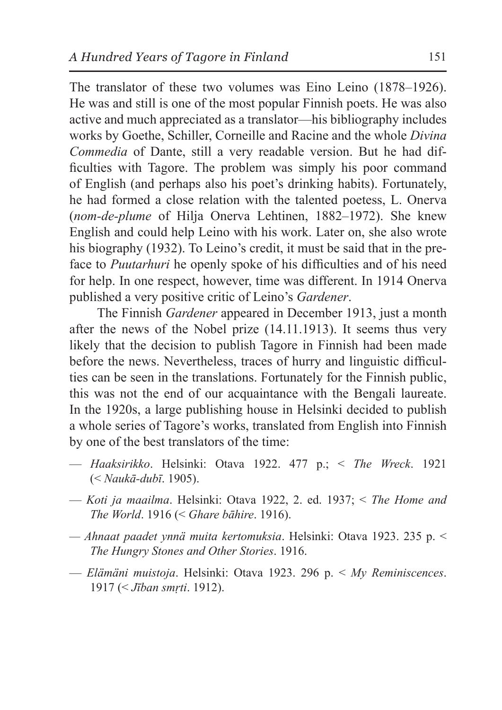The translator of these two volumes was Eino Leino (1878–1926). He was and still is one of the most popular Finnish poets. He was also active and much appreciated as a translator—his bibliography includes works by Goethe, Schiller, Corneille and Racine and the whole *Divina Commedia* of Dante, still a very readable version. But he had difficulties with Tagore. The problem was simply his poor command of English (and perhaps also his poet's drinking habits). Fortunately, he had formed a close relation with the talented poetess, L. Onerva (*nom-de-plume* of Hilja Onerva Lehtinen, 1882–1972). She knew English and could help Leino with his work. Later on, she also wrote his biography (1932). To Leino's credit, it must be said that in the preface to *Puutarhuri* he openly spoke of his difficulties and of his need for help. In one respect, however, time was different. In 1914 Onerva published a very positive critic of Leino's *Gardener*.

The Finnish *Gardener* appeared in December 1913, just a month after the news of the Nobel prize (14.11.1913). It seems thus very likely that the decision to publish Tagore in Finnish had been made before the news. Nevertheless, traces of hurry and linguistic difficulties can be seen in the translations. Fortunately for the Finnish public, this was not the end of our acquaintance with the Bengali laureate. In the 1920s, a large publishing house in Helsinki decided to publish a whole series of Tagore's works, translated from English into Finnish by one of the best translators of the time:

- *Haaksirikko*. Helsinki: Otava 1922. 477 p.; < *The Wreck*. 1921 (< *Naukā-dubī*. 1905).
- *Koti ja maailma*. Helsinki: Otava 1922, 2. ed. 1937; < *The Home and The World*. 1916 (< *Ghare bāhire*. 1916).
- *Ahnaat paadet ynnä muita kertomuksia*. Helsinki: Otava 1923. 235 p. < *The Hungry Stones and Other Stories*. 1916.
- *Elämäni muistoja*. Helsinki: Otava 1923. 296 p. < *My Reminiscences*. 1917 (< *Jīban smṛti*. 1912).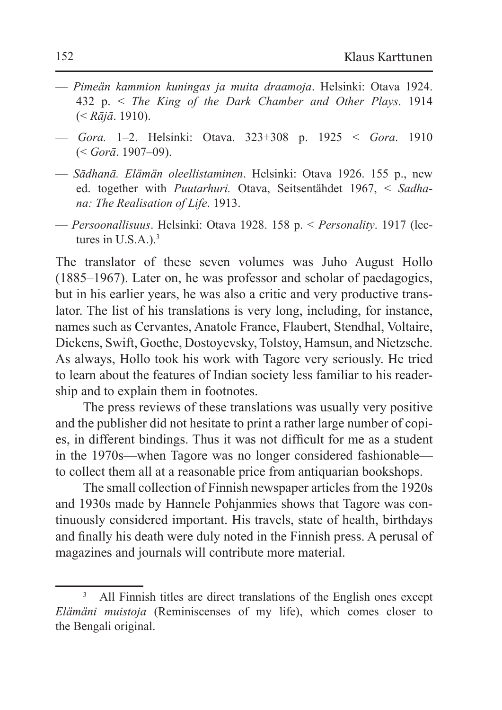- *Pimeän kammion kuningas ja muita draamoja*. Helsinki: Otava 1924. 432 p. < *The King of the Dark Chamber and Other Plays*. 1914 (< *Rājā*. 1910).
- *Gora.* 1–2. Helsinki: Otava. 323+308 p. 1925 < *Gora*. 1910 (< *Gorā*. 1907–09).
- *Sādhanā. Elämän oleellistaminen*. Helsinki: Otava 1926. 155 p., new ed. together with *Puutarhuri.* Otava, Seitsentähdet 1967, < *Sadhana: The Realisation of Life*. 1913.
- *Persoonallisuus*. Helsinki: Otava 1928. 158 p. < *Personality*. 1917 (lectures in  $U.S.A.$ ). $3$

The translator of these seven volumes was Juho August Hollo (1885–1967). Later on, he was professor and scholar of paedagogics, but in his earlier years, he was also a critic and very productive translator. The list of his translations is very long, including, for instance, names such as Cervantes, Anatole France, Flaubert, Stendhal, Voltaire, Dickens, Swift, Goethe, Dostoyevsky, Tolstoy, Hamsun, and Nietzsche. As always, Hollo took his work with Tagore very seriously. He tried to learn about the features of Indian society less familiar to his readership and to explain them in footnotes.

The press reviews of these translations was usually very positive and the publisher did not hesitate to print a rather large number of copies, in different bindings. Thus it was not difficult for me as a student in the 1970s—when Tagore was no longer considered fashionable to collect them all at a reasonable price from antiquarian bookshops.

The small collection of Finnish newspaper articles from the 1920s and 1930s made by Hannele Pohjanmies shows that Tagore was continuously considered important. His travels, state of health, birthdays and finally his death were duly noted in the Finnish press. A perusal of magazines and journals will contribute more material.

All Finnish titles are direct translations of the English ones except *Elämäni muistoja* (Reminiscenses of my life), which comes closer to the Bengali original.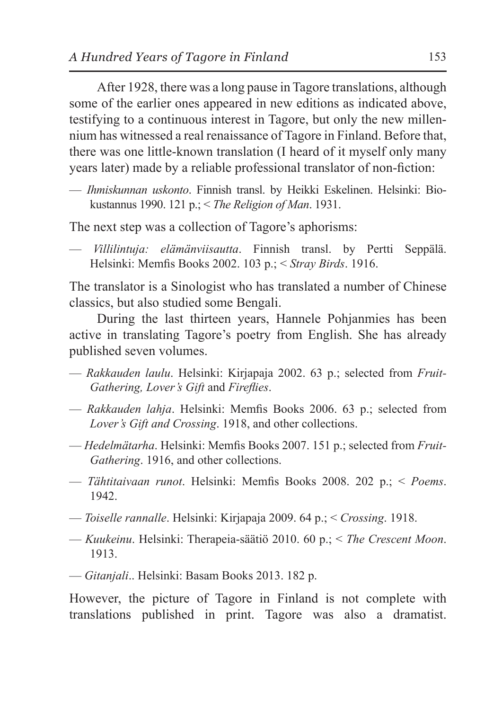After 1928, there was a long pause in Tagore translations, although some of the earlier ones appeared in new editions as indicated above, testifying to a continuous interest in Tagore, but only the new millennium has witnessed a real renaissance of Tagore in Finland. Before that, there was one little-known translation (I heard of it myself only many years later) made by a reliable professional translator of non-fiction:

— *Ihmiskunnan uskonto*. Finnish transl. by Heikki Eskelinen. Helsinki: Biokustannus 1990. 121 p.; < *The Religion of Man*. 1931.

The next step was a collection of Tagore's aphorisms:

— *Villilintuja: elämänviisautta*. Finnish transl. by Pertti Seppälä. Helsinki: Memfis Books 2002. 103 p.; < *Stray Birds*. 1916.

The translator is a Sinologist who has translated a number of Chinese classics, but also studied some Bengali.

During the last thirteen years, Hannele Pohjanmies has been active in translating Tagore's poetry from English. She has already published seven volumes.

- *Rakkauden laulu*. Helsinki: Kirjapaja 2002. 63 p.; selected from *Fruit-Gathering, Lover's Gift* and *Fireflies*.
- *Rakkauden lahja*. Helsinki: Memfis Books 2006. 63 p.; selected from *Lover's Gift and Crossing*. 1918, and other collections.
- *Hedelmätarha*. Helsinki: Memfis Books 2007. 151 p.; selected from *Fruit-Gathering*. 1916, and other collections.
- *Tähtitaivaan runot*. Helsinki: Memfis Books 2008. 202 p.; < *Poems*. 1942.
- *Toiselle rannalle*. Helsinki: Kirjapaja 2009. 64 p.; < *Crossing*. 1918.
- *Kuukeinu*. Helsinki: Therapeia-säätiö 2010. 60 p.; < *The Crescent Moon*. 1913.
- *Gitanjali*.. Helsinki: Basam Books 2013. 182 p.

However, the picture of Tagore in Finland is not complete with translations published in print. Tagore was also a dramatist.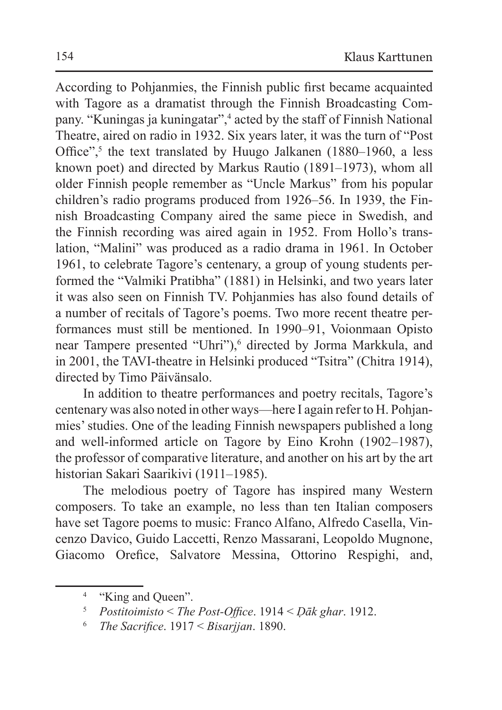According to Pohjanmies, the Finnish public first became acquainted with Tagore as a dramatist through the Finnish Broadcasting Company. "Kuningas ja kuningatar",4 acted by the staff of Finnish National Theatre, aired on radio in 1932. Six years later, it was the turn of "Post Office",<sup>5</sup> the text translated by Huugo Jalkanen (1880–1960, a less known poet) and directed by Markus Rautio (1891–1973), whom all older Finnish people remember as "Uncle Markus" from his popular children's radio programs produced from 1926–56. In 1939, the Finnish Broadcasting Company aired the same piece in Swedish, and the Finnish recording was aired again in 1952. From Hollo's translation, "Malini" was produced as a radio drama in 1961. In October 1961, to celebrate Tagore's centenary, a group of young students performed the "Valmiki Pratibha" (1881) in Helsinki, and two years later it was also seen on Finnish TV. Pohjanmies has also found details of a number of recitals of Tagore's poems. Two more recent theatre performances must still be mentioned. In 1990–91, Voionmaan Opisto near Tampere presented "Uhri"),<sup>6</sup> directed by Jorma Markkula, and in 2001, the TAVI-theatre in Helsinki produced "Tsitra" (Chitra 1914), directed by Timo Päivänsalo.

In addition to theatre performances and poetry recitals, Tagore's centenary was also noted in other ways—here I again refer to H. Pohjanmies' studies. One of the leading Finnish newspapers published a long and well-informed article on Tagore by Eino Krohn (1902–1987), the professor of comparative literature, and another on his art by the art historian Sakari Saarikivi (1911–1985).

The melodious poetry of Tagore has inspired many Western composers. To take an example, no less than ten Italian composers have set Tagore poems to music: Franco Alfano, Alfredo Casella, Vincenzo Davico, Guido Laccetti, Renzo Massarani, Leopoldo Mugnone, Giacomo Orefice, Salvatore Messina, Ottorino Respighi, and,

<sup>4</sup> "King and Queen".

<sup>5</sup> *Postitoimisto* < *The Post-Office*. 1914 < *Ḍāk ghar*. 1912.

<sup>6</sup> *The Sacrifice*. 1917 < *Bisarjjan*. 1890.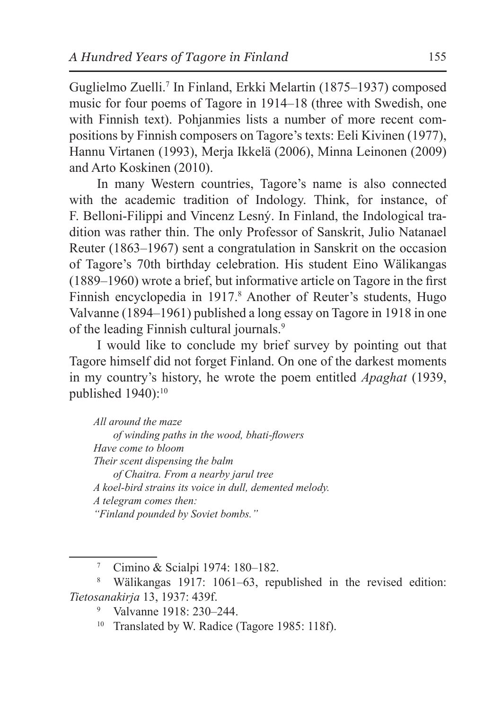Guglielmo Zuelli.<sup>7</sup> In Finland, Erkki Melartin (1875–1937) composed music for four poems of Tagore in 1914–18 (three with Swedish, one with Finnish text). Pohjanmies lists a number of more recent compositions by Finnish composers on Tagore's texts: Eeli Kivinen (1977), Hannu Virtanen (1993), Merja Ikkelä (2006), Minna Leinonen (2009) and Arto Koskinen (2010).

In many Western countries, Tagore's name is also connected with the academic tradition of Indology. Think, for instance, of F. Belloni-Filippi and Vincenz Lesný. In Finland, the Indological tradition was rather thin. The only Professor of Sanskrit, Julio Natanael Reuter (1863–1967) sent a congratulation in Sanskrit on the occasion of Tagore's 70th birthday celebration. His student Eino Wälikangas (1889–1960) wrote a brief, but informative article on Tagore in the first Finnish encyclopedia in 1917.<sup>8</sup> Another of Reuter's students, Hugo Valvanne (1894–1961) published a long essay on Tagore in 1918 in one of the leading Finnish cultural journals.<sup>9</sup>

I would like to conclude my brief survey by pointing out that Tagore himself did not forget Finland. On one of the darkest moments in my country's history, he wrote the poem entitled *Apaghat* (1939, published 1940):<sup>10</sup>

*All around the maze of winding paths in the wood, bhati-flowers Have come to bloom Their scent dispensing the balm of Chaitra. From a nearby jarul tree A koel-bird strains its voice in dull, demented melody. A telegram comes then: "Finland pounded by Soviet bombs."*

<sup>7</sup> Cimino & Scialpi 1974: 180–182.

<sup>8</sup> Wälikangas 1917: 1061–63, republished in the revised edition: *Tietosanakirja* 13, 1937: 439f.

<sup>9</sup> Valvanne 1918: 230–244.

<sup>10</sup> Translated by W. Radice (Tagore 1985: 118f).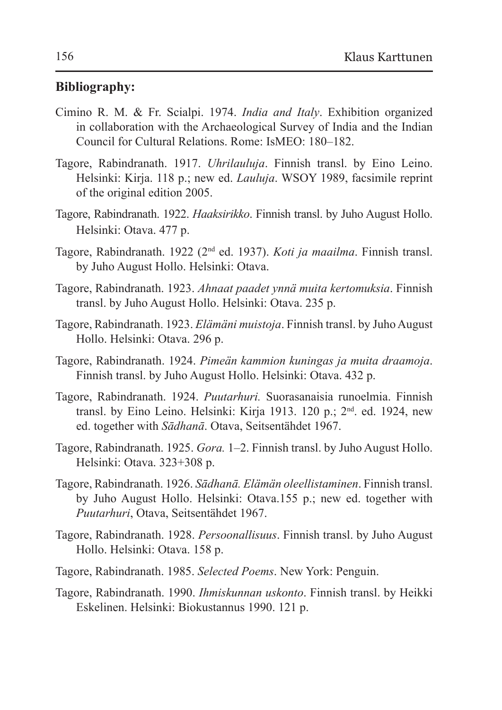## **Bibliography:**

- Cimino R. M. & Fr. Scialpi. 1974. *India and Italy*. Exhibition organized in collaboration with the Archaeological Survey of India and the Indian Council for Cultural Relations. Rome: IsMEO: 180–182.
- Tagore, Rabindranath. 1917. *Uhrilauluja*. Finnish transl. by Eino Leino. Helsinki: Kirja. 118 p.; new ed. *Lauluja*. WSOY 1989, facsimile reprint of the original edition 2005.
- Tagore, Rabindranath. 1922. *Haaksirikko*. Finnish transl. by Juho August Hollo. Helsinki: Otava. 477 p.
- Tagore, Rabindranath. 1922 (2nd ed. 1937). *Koti ja maailma*. Finnish transl. by Juho August Hollo. Helsinki: Otava.
- Tagore, Rabindranath. 1923. *Ahnaat paadet ynnä muita kertomuksia*. Finnish transl. by Juho August Hollo. Helsinki: Otava. 235 p.
- Tagore, Rabindranath. 1923. *Elämäni muistoja*. Finnish transl. by Juho August Hollo. Helsinki: Otava. 296 p.
- Tagore, Rabindranath. 1924. *Pimeän kammion kuningas ja muita draamoja*. Finnish transl. by Juho August Hollo. Helsinki: Otava. 432 p.
- Tagore, Rabindranath. 1924. *Puutarhuri.* Suorasanaisia runoelmia. Finnish transl. by Eino Leino. Helsinki: Kirja 1913. 120 p.; 2<sup>nd</sup>. ed. 1924, new ed. together with *Sādhanā*. Otava, Seitsentähdet 1967.
- Tagore, Rabindranath. 1925. *Gora.* 1–2. Finnish transl. by Juho August Hollo. Helsinki: Otava. 323+308 p.
- Tagore, Rabindranath. 1926. *Sādhanā. Elämän oleellistaminen*. Finnish transl. by Juho August Hollo. Helsinki: Otava.155 p.; new ed. together with *Puutarhuri*, Otava, Seitsentähdet 1967.
- Tagore, Rabindranath. 1928. *Persoonallisuus*. Finnish transl. by Juho August Hollo. Helsinki: Otava. 158 p.
- Tagore, Rabindranath. 1985. *Selected Poems*. New York: Penguin.
- Tagore, Rabindranath. 1990. *Ihmiskunnan uskonto*. Finnish transl. by Heikki Eskelinen. Helsinki: Biokustannus 1990. 121 p.